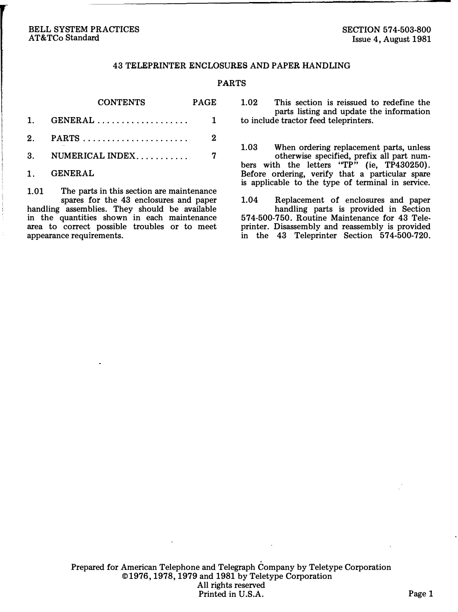#### BELL SYSTEM PRACTICES AT&TCo Standard

#### 43 TELEPRINTER ENCLOSURES AND PAPER HANDLING

#### PARTS

 $\sim$   $\sim$   $\sim$ 

| <b>CONTENTS</b>        | PAGE         |
|------------------------|--------------|
| 1. GENERAL  1          |              |
|                        | $\mathbf{2}$ |
| 3. NUMERICAL INDEX $7$ |              |
|                        |              |

. . . . . . . . . .

1. GENERAL

1.01 The parts in this section are maintenance spares for the 43 enclosures and paper handling assemblies. They should be available in the quantities shown in each maintenance area to correct possible troubles or to meet appearance requirements.

1.02 This section is reissued to redefine the parts listing and update the information to include tractor feed teleprinters.

1.03 When ordering replacement parts, unless otherwise specified, prefix all part numbers with the letters "TP" (ie, TP430250). Before ordering, verify that a particular spare is applicable to the type of terminal in service.

1.04 Replacement of enclosures and paper handling parts is provided in Section 574-500-750. Routine Maintenance for 43 Teleprinter. Disassembly and reassembly is provided in the 43 Teleprinter Section 574-500-720.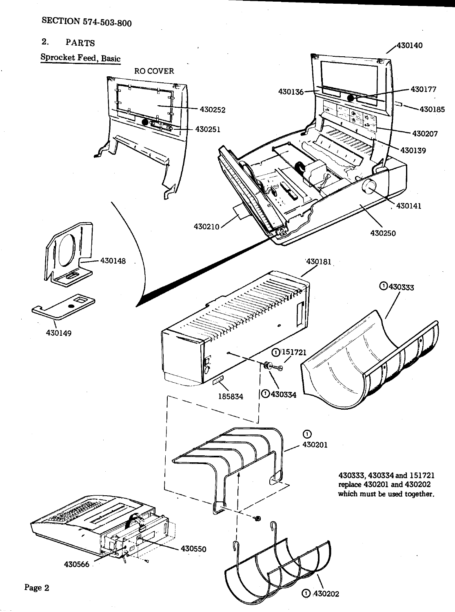# SECTION 574-503-800

2. PARTS

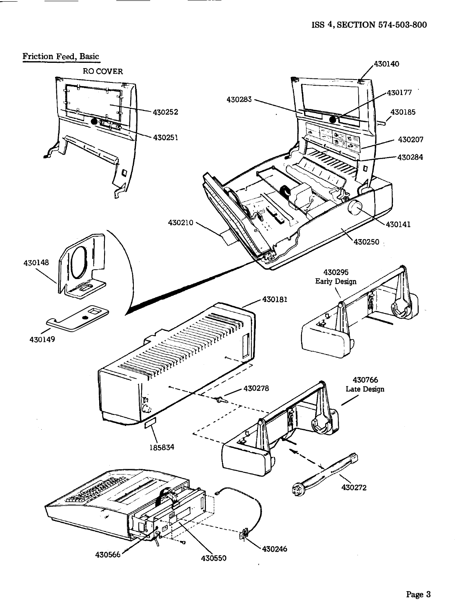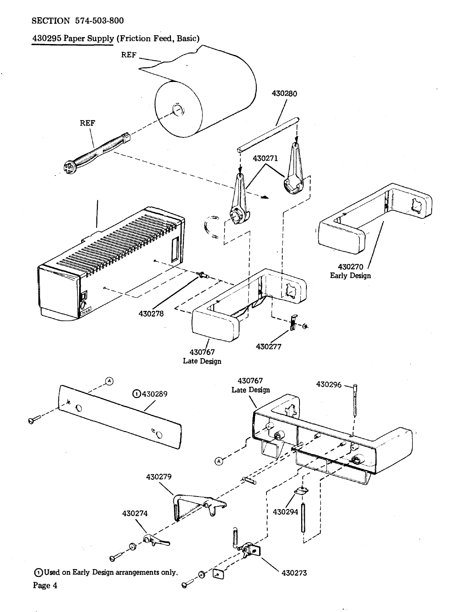## SECTION 57 4-503-800



# Page 4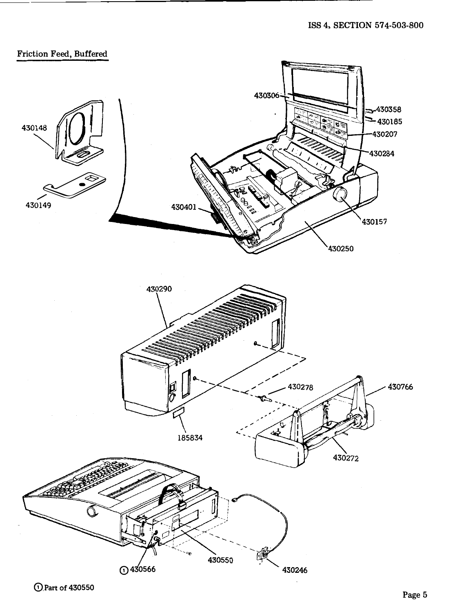

@.Part of <sup>430550</sup>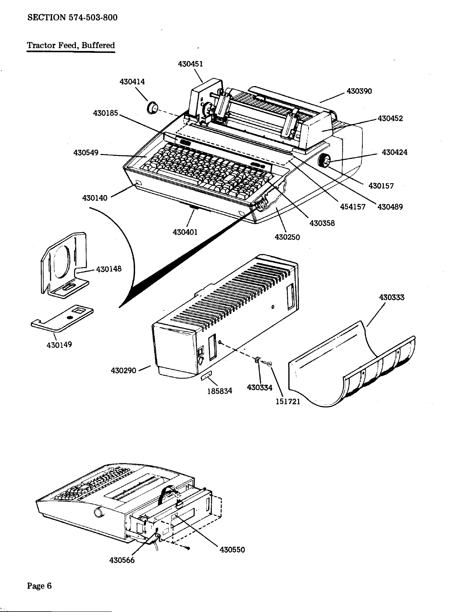## SECTION 574-503-800

# Tractor Feed, Buffered